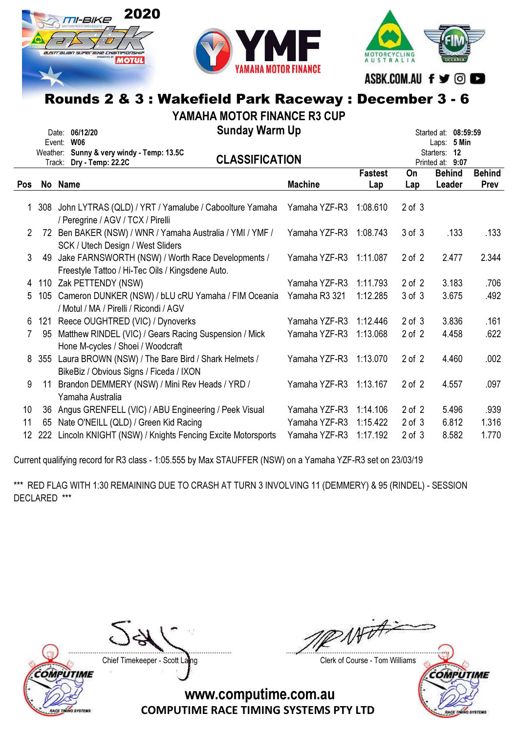



ASBK.COM.AU f y © ©

MOTORCYCLING<br>AUSTRALIA

# Rounds 2 & 3 : Wakefield Park Raceway : December 3 - 6

YAMAHA MOTOR FINANCE R3 CUP

|     |     | Date: 06/12/20<br><b>W06</b><br>Event:<br>Weather: Sunny & very windy - Temp: 13.5C<br>Track: Dry - Temp: 22.2C | <b>Sunday Warm Up</b><br><b>CLASSIFICATION</b> |                       |            | Started at: 08:59:59<br>Laps: 5 Min<br>Starters: 12<br>Printed at: 9:07 |                       |
|-----|-----|-----------------------------------------------------------------------------------------------------------------|------------------------------------------------|-----------------------|------------|-------------------------------------------------------------------------|-----------------------|
| Pos |     | No Name                                                                                                         | <b>Machine</b>                                 | <b>Fastest</b><br>Lap | On<br>Lap  | <b>Behind</b><br>Leader                                                 | <b>Behind</b><br>Prev |
|     |     |                                                                                                                 |                                                |                       |            |                                                                         |                       |
|     |     | 308 John LYTRAS (QLD) / YRT / Yamalube / Caboolture Yamaha<br>/ Peregrine / AGV / TCX / Pirelli                 | Yamaha YZF-R3                                  | 1:08.610              | $2$ of $3$ |                                                                         |                       |
| 2   |     | 72 Ben BAKER (NSW) / WNR / Yamaha Australia / YMI / YMF /<br>SCK / Utech Design / West Sliders                  | Yamaha YZF-R3                                  | 1:08.743              | $3$ of $3$ | .133                                                                    | .133                  |
| 3   | 49  | Jake FARNSWORTH (NSW) / Worth Race Developments /<br>Freestyle Tattoo / Hi-Tec Oils / Kingsdene Auto.           | Yamaha YZF-R3                                  | 1:11.087              | $2$ of $2$ | 2.477                                                                   | 2.344                 |
| 4   |     | 110 Zak PETTENDY (NSW)                                                                                          | Yamaha YZF-R3                                  | 1:11.793              | $2$ of $2$ | 3.183                                                                   | .706                  |
| 5   | 105 | Cameron DUNKER (NSW) / bLU cRU Yamaha / FIM Oceania<br>/ Motul / MA / Pirelli / Ricondi / AGV                   | Yamaha R3 321                                  | 1:12.285              | 3 of 3     | 3.675                                                                   | .492                  |
| 6   | 121 | Reece OUGHTRED (VIC) / Dynoverks                                                                                | Yamaha YZF-R3                                  | 1:12.446              | $2$ of $3$ | 3.836                                                                   | .161                  |
|     | 95  | Matthew RINDEL (VIC) / Gears Racing Suspension / Mick<br>Hone M-cycles / Shoei / Woodcraft                      | Yamaha YZF-R3                                  | 1:13.068              | $2$ of $2$ | 4.458                                                                   | .622                  |
| 8   | 355 | Laura BROWN (NSW) / The Bare Bird / Shark Helmets /<br>BikeBiz / Obvious Signs / Ficeda / IXON                  | Yamaha YZF-R3                                  | 1:13.070              | $2$ of $2$ | 4.460                                                                   | .002                  |
| 9   | 11  | Brandon DEMMERY (NSW) / Mini Rev Heads / YRD /<br>Yamaha Australia                                              | Yamaha YZF-R3                                  | 1:13.167              | $2$ of $2$ | 4.557                                                                   | .097                  |
| 10  | 36  | Angus GRENFELL (VIC) / ABU Engineering / Peek Visual                                                            | Yamaha YZF-R3                                  | 1:14.106              | $2$ of $2$ | 5.496                                                                   | .939                  |
| 11  | 65  | Nate O'NEILL (QLD) / Green Kid Racing                                                                           | Yamaha YZF-R3                                  | 1:15.422              | $2$ of $3$ | 6.812                                                                   | 1.316                 |
| 12  | 222 | Lincoln KNIGHT (NSW) / Knights Fencing Excite Motorsports                                                       | Yamaha YZF-R3                                  | 1:17.192              | $2$ of $3$ | 8.582                                                                   | 1.770                 |

Current qualifying record for R3 class - 1:05.555 by Max STAUFFER (NSW) on a Yamaha YZF-R3 set on 23/03/19

\*\*\* RED FLAG WITH 1:30 REMAINING DUE TO CRASH AT TURN 3 INVOLVING 11 (DEMMERY) & 95 (RINDEL) - SESSION DECLARED \*\*\*



Chief Timekeeper - Scott Laing Chief Timekeeper - Scott Laing

With ....................................................................................... .......................................................................................

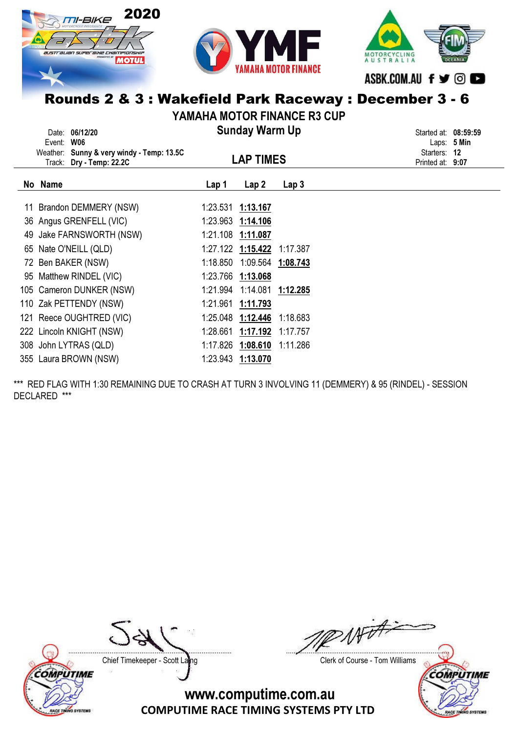



MOTORCYCLING<br>AUSTRALIA ASBK.COM.AU f ♥ © ■

# Rounds 2 & 3 : Wakefield Park Raceway : December 3 - 6

YAMAHA MOTOR FINANCE R3 CUP

|    | Date: 06/12/20<br>Event: W06                                          |          | <b>Sunday Warm Up</b>        |                  | Started at:              | 08:59:59<br>Laps: 5 Min |
|----|-----------------------------------------------------------------------|----------|------------------------------|------------------|--------------------------|-------------------------|
|    | Weather: Sunny & very windy - Temp: 13.5C<br>Track: Dry - Temp: 22.2C |          | <b>LAP TIMES</b>             |                  | Starters:<br>Printed at: | 12<br>9:07              |
|    | No Name                                                               | Lap 1    | Lap2                         | Lap <sub>3</sub> |                          |                         |
|    | 11 Brandon DEMMERY (NSW)                                              | 1:23.531 | 1:13.167                     |                  |                          |                         |
|    | 36 Angus GRENFELL (VIC)                                               | 1:23.963 | 1:14.106                     |                  |                          |                         |
| 49 | Jake FARNSWORTH (NSW)                                                 |          | 1:21.108 1:11.087            |                  |                          |                         |
|    | 65 Nate O'NEILL (QLD)                                                 |          | 1:27.122 1:15.422            | 1:17.387         |                          |                         |
|    | 72 Ben BAKER (NSW)                                                    |          | 1:18.850  1:09.564  1:08.743 |                  |                          |                         |
| 95 | Matthew RINDEL (VIC)                                                  |          | 1:23.766 1:13.068            |                  |                          |                         |
|    | 105 Cameron DUNKER (NSW)                                              |          | 1:21.994  1:14.081  1:12.285 |                  |                          |                         |
|    | 110 Zak PETTENDY (NSW)                                                | 1:21.961 | 1:11.793                     |                  |                          |                         |
|    | 121 Reece OUGHTRED (VIC)                                              | 1:25.048 | 1:12.446                     | 1:18.683         |                          |                         |
|    | 222 Lincoln KNIGHT (NSW)                                              | 1:28.661 | 1:17.192                     | 1:17.757         |                          |                         |
|    | 308 John LYTRAS (QLD)                                                 |          | 1:17.826 1:08.610            | 1:11.286         |                          |                         |
|    | 355 Laura BROWN (NSW)                                                 |          | 1:23.943 1:13.070            |                  |                          |                         |

\*\*\* RED FLAG WITH 1:30 REMAINING DUE TO CRASH AT TURN 3 INVOLVING 11 (DEMMERY) & 95 (RINDEL) - SESSION DECLARED \*\*\*



**ACE TINING SYSTEM** 

Chief Timekeeper - Scott Laing Chief Timekeeper - Scott Laing

 $w\neq 1$ ....................................................................................... .......................................................................................

COMPUTIME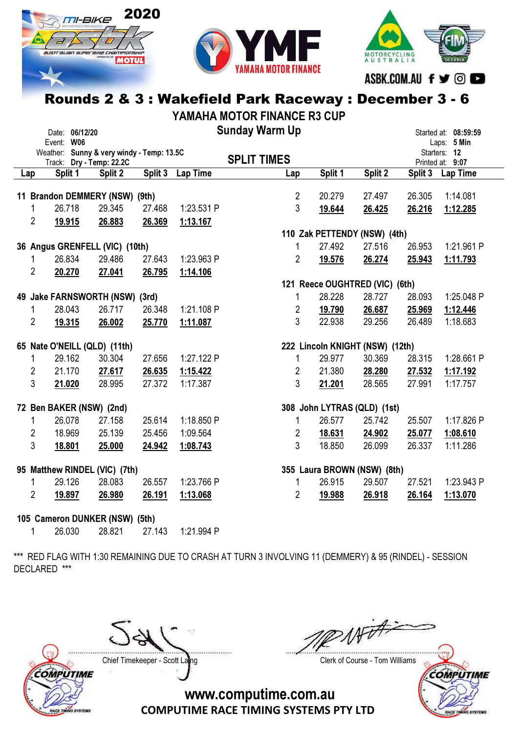





ASBK.COM.AU f ♥ © ■

### Rounds 2 & 3 : Wakefield Park Raceway : December 3 - 6

YAMAHA MOTOR FINANCE R3 CUP

| Date: 06/12/20                 |                                                                       |         |         |                 | <b>Sunday Warm Up</b> |         |                                 | Started at: 08:59:59 |                                  |  |  |
|--------------------------------|-----------------------------------------------------------------------|---------|---------|-----------------|-----------------------|---------|---------------------------------|----------------------|----------------------------------|--|--|
|                                | Event: W06                                                            |         |         |                 |                       |         |                                 |                      | Laps: 5 Min                      |  |  |
|                                | Weather: Sunny & very windy - Temp: 13.5C<br>Track: Dry - Temp: 22.2C |         |         |                 | <b>SPLIT TIMES</b>    |         |                                 |                      | Starters: 12<br>Printed at: 9:07 |  |  |
| Lap                            | Split 1                                                               | Split 2 | Split 3 | <b>Lap Time</b> | Lap                   | Split 1 | Split 2                         |                      | Split 3 Lap Time                 |  |  |
|                                |                                                                       |         |         |                 |                       |         |                                 |                      |                                  |  |  |
|                                | 11 Brandon DEMMERY (NSW) (9th)                                        |         |         |                 | $\overline{2}$        | 20.279  | 27.497                          | 26.305               | 1:14.081                         |  |  |
| 1                              | 26.718                                                                | 29.345  | 27.468  | 1:23.531 P      | $\overline{3}$        | 19.644  | 26.425                          | 26.216               | 1:12.285                         |  |  |
| 2                              | 19.915                                                                | 26.883  | 26.369  | 1:13.167        |                       |         |                                 |                      |                                  |  |  |
|                                |                                                                       |         |         |                 |                       |         | 110 Zak PETTENDY (NSW) (4th)    |                      |                                  |  |  |
|                                | 36 Angus GRENFELL (VIC) (10th)                                        |         |         |                 | 1                     | 27.492  | 27.516                          | 26.953               | 1:21.961 P                       |  |  |
|                                | 26.834                                                                | 29.486  | 27.643  | 1:23.963 P      | $\overline{2}$        | 19.576  | 26.274                          | 25.943               | 1:11.793                         |  |  |
| $\overline{2}$                 | 20.270                                                                | 27.041  | 26.795  | 1:14.106        |                       |         |                                 |                      |                                  |  |  |
|                                |                                                                       |         |         |                 |                       |         | 121 Reece OUGHTRED (VIC) (6th)  |                      |                                  |  |  |
|                                | 49 Jake FARNSWORTH (NSW) (3rd)                                        |         |         |                 | 1                     | 28.228  | 28.727                          | 28.093               | 1:25.048 P                       |  |  |
| 1.                             | 28.043                                                                | 26.717  | 26.348  | 1:21.108 P      | $\overline{2}$        | 19.790  | 26.687                          | 25.969               | 1:12.446                         |  |  |
| $\overline{2}$                 | 19.315                                                                | 26.002  | 25.770  | 1:11.087        | 3                     | 22.938  | 29.256                          | 26.489               | 1:18.683                         |  |  |
|                                |                                                                       |         |         |                 |                       |         |                                 |                      |                                  |  |  |
|                                | 65 Nate O'NEILL (QLD) (11th)                                          |         |         |                 |                       |         | 222 Lincoln KNIGHT (NSW) (12th) |                      |                                  |  |  |
| 1                              | 29.162                                                                | 30.304  | 27.656  | 1:27.122 P      | 1                     | 29.977  | 30.369                          | 28.315               | 1:28.661 P                       |  |  |
| 2                              | 21.170                                                                | 27.617  | 26.635  | 1:15.422        | 2                     | 21.380  | 28.280                          | 27.532               | 1:17.192                         |  |  |
| 3                              | 21.020                                                                | 28.995  | 27.372  | 1:17.387        | 3                     | 21.201  | 28.565                          | 27.991               | 1:17.757                         |  |  |
|                                | 72 Ben BAKER (NSW) (2nd)                                              |         |         |                 |                       |         | 308 John LYTRAS (QLD) (1st)     |                      |                                  |  |  |
| 1                              | 26.078                                                                | 27.158  | 25.614  | 1:18.850 P      | 1                     | 26.577  | 25.742                          | 25.507               | 1:17.826 P                       |  |  |
| 2                              | 18.969                                                                | 25.139  | 25.456  | 1:09.564        | $\overline{2}$        | 18.631  | 24.902                          | 25.077               | 1:08.610                         |  |  |
| 3                              | 18.801                                                                | 25.000  | 24.942  | 1:08.743        | 3                     | 18.850  | 26.099                          | 26.337               | 1:11.286                         |  |  |
|                                | 95 Matthew RINDEL (VIC) (7th)                                         |         |         |                 |                       |         | 355 Laura BROWN (NSW) (8th)     |                      |                                  |  |  |
| 1                              | 29.126                                                                | 28.083  | 26.557  | 1:23.766 P      | 1                     | 26.915  | 29.507                          | 27.521               | 1:23.943 P                       |  |  |
| $\overline{2}$                 | 19.897                                                                | 26.980  | 26.191  | 1:13.068        | $\overline{2}$        | 19.988  | 26.918                          | 26.164               | 1:13.070                         |  |  |
| 105 Cameron DUNKER (NSW) (5th) |                                                                       |         |         |                 |                       |         |                                 |                      |                                  |  |  |

1 26.030 28.821 27.143 1:21.994 P

\*\*\* RED FLAG WITH 1:30 REMAINING DUE TO CRASH AT TURN 3 INVOLVING 11 (DEMMERY) & 95 (RINDEL) - SESSION DECLARED \*\*\*



Chief Timekeeper - Scott Laing Chief Timekeeper - Scott Laing

 $W\vec{v}$ ....................................................................................... .......................................................................................

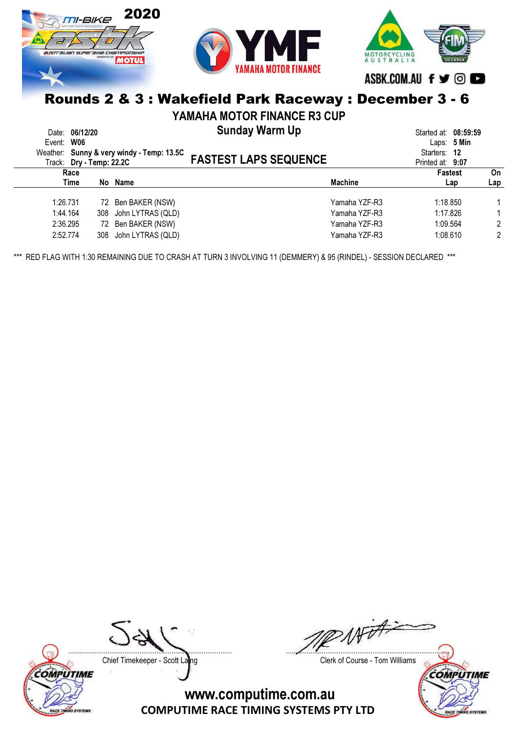

## Rounds 2 & 3 : Wakefield Park Raceway : December 3 - 6

YAMAHA MOTOR FINANCE R3 CUP

| Event:   | Date: 06/12/20<br>W06<br>Track: Dry - Temp: 22.2C | Weather: Sunny & very windy - Temp: 13.5C | <b>Sunday Warm Up</b><br><b>FASTEST LAPS SEQUENCE</b> |                | Started at: 08:59:59<br>Starters: 12<br>Printed at: 9:07 | Laps: $5$ Min |     |
|----------|---------------------------------------------------|-------------------------------------------|-------------------------------------------------------|----------------|----------------------------------------------------------|---------------|-----|
|          | Race                                              |                                           |                                                       |                | <b>Fastest</b>                                           |               | On  |
|          | Time                                              | No Name                                   |                                                       | <b>Machine</b> |                                                          | Lap           | Lap |
| 1:26.731 |                                                   | 72 Ben BAKER (NSW)                        |                                                       | Yamaha YZF-R3  | 1:18.850                                                 |               |     |
| 1:44.164 |                                                   | 308 John LYTRAS (QLD)                     |                                                       | Yamaha YZF-R3  | 1:17.826                                                 |               |     |
| 2:36.295 |                                                   | 72 Ben BAKER (NSW)                        |                                                       | Yamaha YZF-R3  | 1:09.564                                                 |               | 2   |
| 2:52.774 |                                                   | 308 John LYTRAS (QLD)                     |                                                       | Yamaha YZF-R3  | 1:08.610                                                 |               | 2   |

\*\*\* RED FLAG WITH 1:30 REMAINING DUE TO CRASH AT TURN 3 INVOLVING 11 (DEMMERY) & 95 (RINDEL) - SESSION DECLARED \*\*\*





Chief Timekeeper - Scott Laing Chief Timekeeper - Scott Laing

AFOFF ....................................................................................... .......................................................................................

**COMPUTIME SYSTEMS**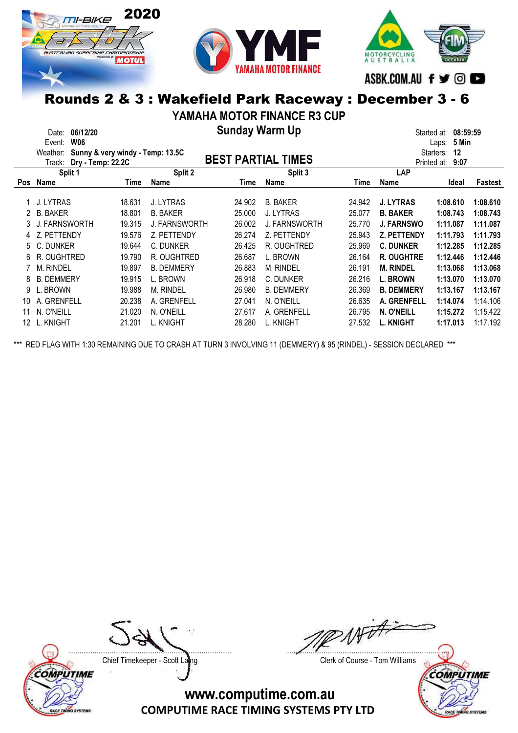



ASBK.COM.AU f ♥ © ■

MOTORCYCLING<br>AUSTRALIA

## Rounds 2 & 3 : Wakefield Park Raceway : December 3 - 6

YAMAHA MOTOR FINANCE R3 CUP

Sunday Warm Up Date: 06/12/20 Started at: 08:59:59

|                 | <b>W06</b><br>Event:                         |        |                      |        |                           |        |                     | 5 Min<br>Laps:  |          |  |
|-----------------|----------------------------------------------|--------|----------------------|--------|---------------------------|--------|---------------------|-----------------|----------|--|
|                 | Sunny & very windy - Temp: 13.5C<br>Weather: |        |                      |        |                           |        |                     | Starters:<br>12 |          |  |
|                 | Dry - Temp: 22.2C<br>Track:                  |        |                      |        | <b>BEST PARTIAL TIMES</b> |        | Printed at:<br>9:07 |                 |          |  |
|                 | Split 1                                      |        | Split 2              |        | Split 3                   |        | <b>LAP</b>          |                 |          |  |
| <b>Pos</b>      | Name                                         | Time   | Name                 | Time   | Name                      | Time   | Name                | Ideal           | Fastest  |  |
|                 |                                              |        |                      |        |                           |        |                     |                 |          |  |
|                 | J. LYTRAS                                    | 18.631 | J. LYTRAS            | 24.902 | <b>B. BAKER</b>           | 24.942 | <b>J. LYTRAS</b>    | 1:08.610        | 1:08.610 |  |
| 2.              | <b>B. BAKER</b>                              | 18.801 | <b>B. BAKER</b>      | 25,000 | J. LYTRAS                 | 25.077 | <b>B. BAKER</b>     | 1:08.743        | 1:08.743 |  |
| 3.              | J. FARNSWORTH                                | 19.315 | <b>J. FARNSWORTH</b> | 26.002 | <b>J. FARNSWORTH</b>      | 25,770 | <b>J. FARNSWO</b>   | 1:11.087        | 1:11.087 |  |
|                 | Z. PETTENDY                                  | 19.576 | Z. PETTENDY          | 26.274 | Z. PETTENDY               | 25.943 | <b>Z. PETTENDY</b>  | 1:11.793        | 1:11.793 |  |
| 5               | C. DUNKER                                    | 19.644 | C. DUNKER            | 26.425 | R. OUGHTRED               | 25.969 | <b>C. DUNKER</b>    | 1:12.285        | 1:12.285 |  |
| 6               | R. OUGHTRED                                  | 19.790 | R. OUGHTRED          | 26.687 | L. BROWN                  | 26.164 | <b>R. OUGHTRE</b>   | 1:12.446        | 1:12.446 |  |
|                 | <b>M. RINDEL</b>                             | 19.897 | <b>B. DEMMERY</b>    | 26.883 | <b>M. RINDEL</b>          | 26.191 | <b>M. RINDEL</b>    | 1:13.068        | 1:13.068 |  |
| 8               | <b>B. DEMMERY</b>                            | 19.915 | L. BROWN             | 26.918 | C. DUNKER                 | 26.216 | L. BROWN            | 1:13.070        | 1:13.070 |  |
| 9               | L. BROWN                                     | 19.988 | <b>M. RINDEL</b>     | 26.980 | <b>B. DEMMERY</b>         | 26,369 | <b>B. DEMMERY</b>   | 1:13.167        | 1:13.167 |  |
| 10              | A. GRENFELL                                  | 20.238 | A. GRENFELL          | 27.041 | N. O'NEILL                | 26.635 | A. GRENFELL         | 1:14.074        | 1:14.106 |  |
| 11              | N. O'NEILL                                   | 21.020 | N. O'NEILL           | 27.617 | A. GRENFELL               | 26.795 | N. O'NEILL          | 1:15.272        | 1:15.422 |  |
| 12 <sup>°</sup> | L. KNIGHT                                    | 21.201 | L. KNIGHT            | 28.280 | L. KNIGHT                 | 27.532 | <b>L. KNIGHT</b>    | 1:17.013        | 1:17.192 |  |

\*\*\* RED FLAG WITH 1:30 REMAINING DUE TO CRASH AT TURN 3 INVOLVING 11 (DEMMERY) & 95 (RINDEL) - SESSION DECLARED \*\*\*

Chief Timekeeper - Scott Laing Chief Timekeeper - Scott Laing

COMPUTIME

**O SYSTEM** 

Not ? ....................................................................................... .......................................................................................